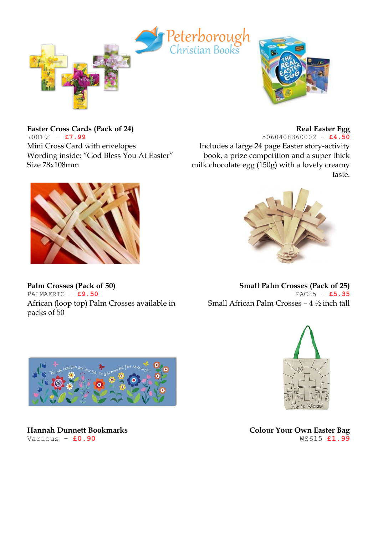

**Easter Cross Cards (Pack of 24)** 700191 - **£7.99** Mini Cross Card with envelopes

Wording inside: "God Bless You At Easter" Size 78x108mm



**Palm Crosses (Pack of 50)** PALMAFRIC - **£9.50** African (loop top) Palm Crosses available in packs of 50



5060408360002 - **£4.50** Includes a large 24 page Easter story-activity book, a prize competition and a super thick milk chocolate egg (150g) with a lovely creamy taste.



**Small Palm Crosses (Pack of 25)** PAC25 - **£5.35** Small African Palm Crosses – 4 ½ inch tall



**Hannah Dunnett Bookmarks** Various - **£0.90**



**Colour Your Own Easter Bag** WS615 **£1.99**